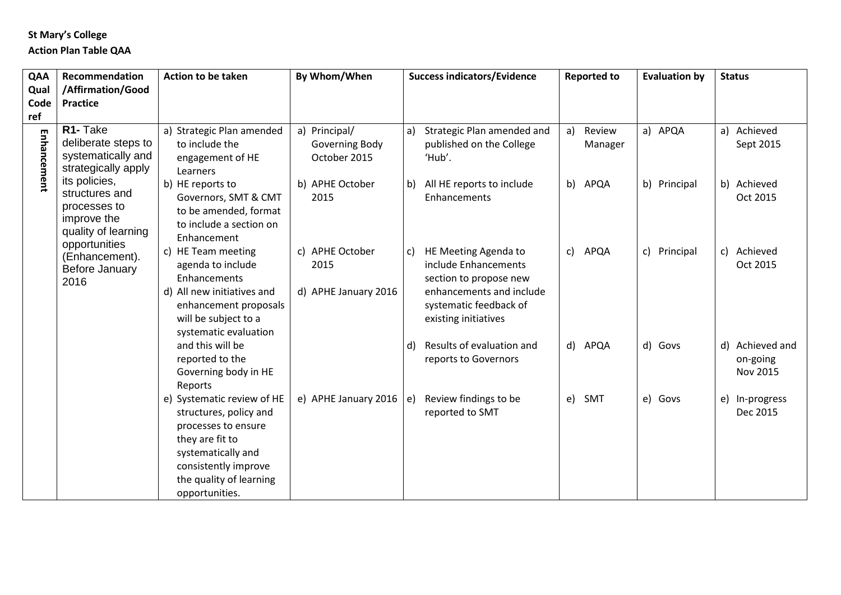## **St Mary's College**

## **Action Plan Table QAA**

| QAA         | Recommendation                                                                                | Action to be taken                                                                                                                                                                        | By Whom/When                                                       | <b>Success indicators/Evidence</b>                                                                                                                         | <b>Reported to</b>                 | <b>Evaluation by</b>      | <b>Status</b>                           |
|-------------|-----------------------------------------------------------------------------------------------|-------------------------------------------------------------------------------------------------------------------------------------------------------------------------------------------|--------------------------------------------------------------------|------------------------------------------------------------------------------------------------------------------------------------------------------------|------------------------------------|---------------------------|-----------------------------------------|
| Qual        | /Affirmation/Good                                                                             |                                                                                                                                                                                           |                                                                    |                                                                                                                                                            |                                    |                           |                                         |
| Code        | <b>Practice</b>                                                                               |                                                                                                                                                                                           |                                                                    |                                                                                                                                                            |                                    |                           |                                         |
| ref         |                                                                                               |                                                                                                                                                                                           |                                                                    |                                                                                                                                                            |                                    |                           |                                         |
| Enhancement | R1- Take<br>deliberate steps to<br>systematically and<br>strategically apply<br>its policies, | a) Strategic Plan amended<br>to include the<br>engagement of HE<br>Learners<br>b) HE reports to                                                                                           | a) Principal/<br>Governing Body<br>October 2015<br>b) APHE October | Strategic Plan amended and<br>a)<br>published on the College<br>'Hub'.<br>All HE reports to include<br>b)                                                  | Review<br>a)<br>Manager<br>b) APQA | a) APQA<br>b) Principal   | a) Achieved<br>Sept 2015<br>b) Achieved |
|             | structures and<br>processes to<br>improve the<br>quality of learning<br>opportunities         | Governors, SMT & CMT<br>to be amended, format<br>to include a section on<br>Enhancement                                                                                                   | 2015                                                               | Enhancements                                                                                                                                               |                                    |                           | Oct 2015                                |
|             | (Enhancement).<br>Before January<br>2016                                                      | c) HE Team meeting<br>agenda to include<br>Enhancements<br>d) All new initiatives and<br>enhancement proposals<br>will be subject to a<br>systematic evaluation                           | c) APHE October<br>2015<br>d) APHE January 2016                    | HE Meeting Agenda to<br>C)<br>include Enhancements<br>section to propose new<br>enhancements and include<br>systematic feedback of<br>existing initiatives | APQA<br>c)                         | Principal<br>$\mathsf{C}$ | c) Achieved<br>Oct 2015                 |
|             |                                                                                               | and this will be<br>reported to the<br>Governing body in HE<br>Reports                                                                                                                    |                                                                    | Results of evaluation and<br>d)<br>reports to Governors                                                                                                    | d) APQA                            | d) Govs                   | d) Achieved and<br>on-going<br>Nov 2015 |
|             |                                                                                               | e) Systematic review of HE<br>structures, policy and<br>processes to ensure<br>they are fit to<br>systematically and<br>consistently improve<br>the quality of learning<br>opportunities. | e) APHE January 2016                                               | Review findings to be<br>e)<br>reported to SMT                                                                                                             | SMT<br>e)                          | e) Govs                   | e) In-progress<br>Dec 2015              |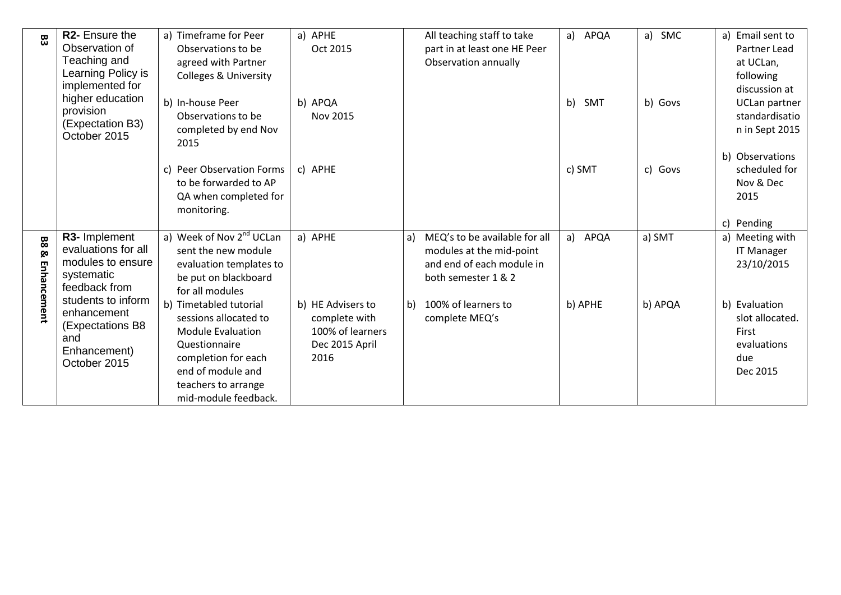| 83                      | R <sub>2</sub> - Ensure the<br>Observation of<br>Teaching and<br>Learning Policy is<br>implemented for<br>higher education<br>provision<br>(Expectation B3)<br>October 2015 | a) Timeframe for Peer<br>Observations to be<br>agreed with Partner<br><b>Colleges &amp; University</b><br>b) In-house Peer<br>Observations to be<br>completed by end Nov<br>2015        | a) APHE<br>Oct 2015<br>b) APQA<br>Nov 2015                                       | All teaching staff to take<br>part in at least one HE Peer<br>Observation annually                                  | APQA<br>a)<br>b)<br>SMT | a) SMC<br>b) Govs | a) Email sent to<br>Partner Lead<br>at UCLan,<br>following<br>discussion at<br><b>UCLan partner</b><br>standardisatio<br>n in Sept 2015 |
|-------------------------|-----------------------------------------------------------------------------------------------------------------------------------------------------------------------------|-----------------------------------------------------------------------------------------------------------------------------------------------------------------------------------------|----------------------------------------------------------------------------------|---------------------------------------------------------------------------------------------------------------------|-------------------------|-------------------|-----------------------------------------------------------------------------------------------------------------------------------------|
|                         |                                                                                                                                                                             | <b>Peer Observation Forms</b><br>C)<br>to be forwarded to AP<br>QA when completed for<br>monitoring.                                                                                    | c) APHE                                                                          |                                                                                                                     | c) SMT                  | c) Govs           | b) Observations<br>scheduled for<br>Nov & Dec<br>2015<br>c) Pending                                                                     |
| 88<br>ჯ<br>Enha<br>ince | R3- Implement<br>evaluations for all<br>modules to ensure<br>systematic<br>feedback from                                                                                    | a) Week of Nov 2 <sup>nd</sup> UCLan<br>sent the new module<br>evaluation templates to<br>be put on blackboard<br>for all modules                                                       | a) APHE                                                                          | MEQ's to be available for all<br>a)<br>modules at the mid-point<br>and end of each module in<br>both semester 1 & 2 | APQA<br>a)              | a) SMT            | a) Meeting with<br><b>IT Manager</b><br>23/10/2015                                                                                      |
| ent                     | students to inform<br>enhancement<br>(Expectations B8<br>and<br>Enhancement)<br>October 2015                                                                                | b) Timetabled tutorial<br>sessions allocated to<br><b>Module Evaluation</b><br>Questionnaire<br>completion for each<br>end of module and<br>teachers to arrange<br>mid-module feedback. | b) HE Advisers to<br>complete with<br>100% of learners<br>Dec 2015 April<br>2016 | 100% of learners to<br>b)<br>complete MEQ's                                                                         | b) APHE                 | b) APQA           | b) Evaluation<br>slot allocated.<br>First<br>evaluations<br>due<br>Dec 2015                                                             |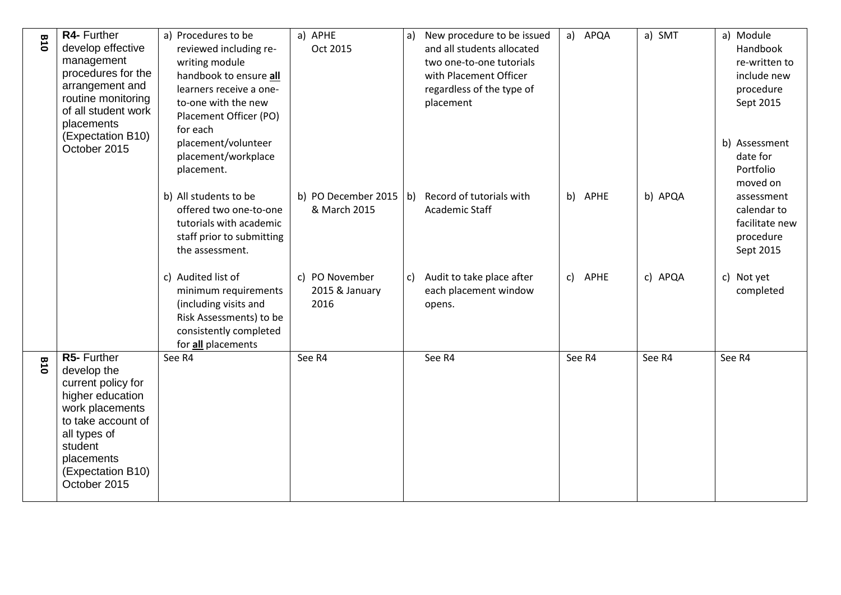| <b>B10</b> | R4- Further<br>develop effective<br>management<br>procedures for the<br>arrangement and<br>routine monitoring<br>of all student work<br>placements                                          | a) Procedures to be<br>reviewed including re-<br>writing module<br>handbook to ensure all<br>learners receive a one-<br>to-one with the new<br>Placement Officer (PO)<br>for each | a) APHE<br>Oct 2015                      | New procedure to be issued<br>a)<br>and all students allocated<br>two one-to-one tutorials<br>with Placement Officer<br>regardless of the type of<br>placement | a) APQA    | a) SMT  | a) Module<br>Handbook<br>re-written to<br>include new<br>procedure<br>Sept 2015 |
|------------|---------------------------------------------------------------------------------------------------------------------------------------------------------------------------------------------|-----------------------------------------------------------------------------------------------------------------------------------------------------------------------------------|------------------------------------------|----------------------------------------------------------------------------------------------------------------------------------------------------------------|------------|---------|---------------------------------------------------------------------------------|
|            | (Expectation B10)<br>October 2015                                                                                                                                                           | placement/volunteer<br>placement/workplace<br>placement.<br>b) All students to be                                                                                                 |                                          | b) PO December 2015 (b) Record of tutorials with                                                                                                               | b) APHE    | b) APQA | b) Assessment<br>date for<br>Portfolio<br>moved on                              |
|            |                                                                                                                                                                                             | offered two one-to-one<br>tutorials with academic<br>staff prior to submitting<br>the assessment.                                                                                 | & March 2015                             | Academic Staff                                                                                                                                                 |            |         | assessment<br>calendar to<br>facilitate new<br>procedure<br>Sept 2015           |
|            |                                                                                                                                                                                             | c) Audited list of<br>minimum requirements<br>(including visits and<br>Risk Assessments) to be<br>consistently completed<br>for all placements                                    | c) PO November<br>2015 & January<br>2016 | Audit to take place after<br>$\mathsf{c}$<br>each placement window<br>opens.                                                                                   | APHE<br>c) | c) APQA | c) Not yet<br>completed                                                         |
| 018        | R5- Further<br>develop the<br>current policy for<br>higher education<br>work placements<br>to take account of<br>all types of<br>student<br>placements<br>(Expectation B10)<br>October 2015 | See R4                                                                                                                                                                            | See R4                                   | See R4                                                                                                                                                         | See R4     | See R4  | See R4                                                                          |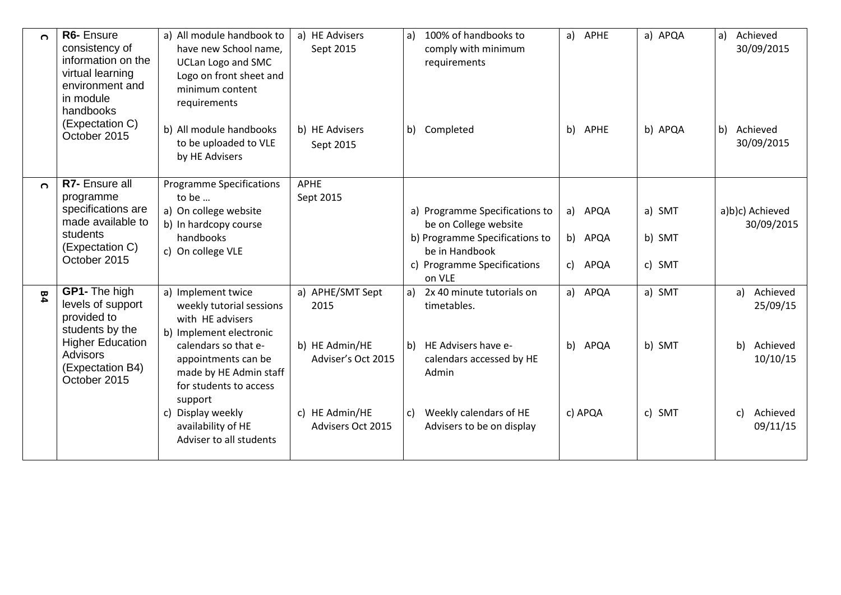| $\Omega$ | R6- Ensure<br>consistency of<br>information on the<br>virtual learning<br>environment and<br>in module<br>handbooks<br>(Expectation C)<br>October 2015 | a) All module handbook to<br>have new School name,<br><b>UCLan Logo and SMC</b><br>Logo on front sheet and<br>minimum content<br>requirements<br>b) All module handbooks<br>to be uploaded to VLE<br>by HE Advisers                                                               | a) HE Advisers<br>Sept 2015<br>b) HE Advisers<br>Sept 2015                                              | a) 100% of handbooks to<br>comply with minimum<br>requirements<br>b) Completed                                                                                          | a) APHE<br>b) APHE               | a) APQA<br>b) APQA         | Achieved<br>a)<br>30/09/2015<br>b)<br>Achieved<br>30/09/2015                           |
|----------|--------------------------------------------------------------------------------------------------------------------------------------------------------|-----------------------------------------------------------------------------------------------------------------------------------------------------------------------------------------------------------------------------------------------------------------------------------|---------------------------------------------------------------------------------------------------------|-------------------------------------------------------------------------------------------------------------------------------------------------------------------------|----------------------------------|----------------------------|----------------------------------------------------------------------------------------|
| $\Omega$ | R7- Ensure all<br>programme<br>specifications are<br>made available to<br>students<br>(Expectation C)<br>October 2015                                  | <b>Programme Specifications</b><br>to be<br>a) On college website<br>b) In hardcopy course<br>handbooks<br>c) On college VLE                                                                                                                                                      | <b>APHE</b><br>Sept 2015                                                                                | a) Programme Specifications to<br>be on College website<br>b) Programme Specifications to<br>be in Handbook<br>c) Programme Specifications<br>on VLE                    | APQA<br>a)<br>b) APQA<br>c) APQA | a) SMT<br>b) SMT<br>c) SMT | a)b)c) Achieved<br>30/09/2015                                                          |
| 风        | GP1- The high<br>levels of support<br>provided to<br>students by the<br><b>Higher Education</b><br><b>Advisors</b><br>(Expectation B4)<br>October 2015 | a) Implement twice<br>weekly tutorial sessions<br>with HE advisers<br>b) Implement electronic<br>calendars so that e-<br>appointments can be<br>made by HE Admin staff<br>for students to access<br>support<br>c) Display weekly<br>availability of HE<br>Adviser to all students | a) APHE/SMT Sept<br>2015<br>b) HE Admin/HE<br>Adviser's Oct 2015<br>c) HE Admin/HE<br>Advisers Oct 2015 | a) 2x 40 minute tutorials on<br>timetables.<br>b) HE Advisers have e-<br>calendars accessed by HE<br>Admin<br>Weekly calendars of HE<br>c)<br>Advisers to be on display | a) APQA<br>b) APQA<br>c) APQA    | a) SMT<br>b) SMT<br>c) SMT | Achieved<br>a)<br>25/09/15<br>Achieved<br>b)<br>10/10/15<br>Achieved<br>C)<br>09/11/15 |